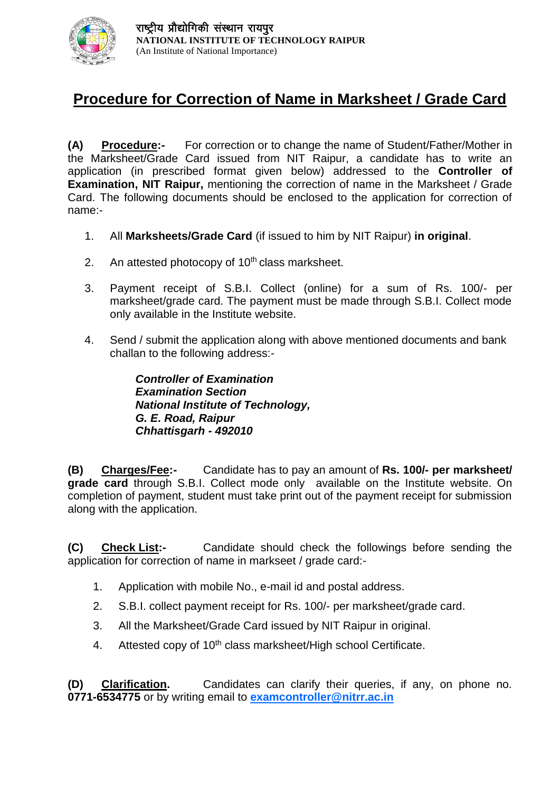

## **Procedure for Correction of Name in Marksheet / Grade Card**

**(A) Procedure:-** For correction or to change the name of Student/Father/Mother in the Marksheet/Grade Card issued from NIT Raipur, a candidate has to write an application (in prescribed format given below) addressed to the **Controller of Examination, NIT Raipur,** mentioning the correction of name in the Marksheet / Grade Card. The following documents should be enclosed to the application for correction of name:-

- 1. All **Marksheets/Grade Card** (if issued to him by NIT Raipur) **in original**.
- 2. An attested photocopy of  $10<sup>th</sup>$  class marksheet.
- 3. Payment receipt of S.B.I. Collect (online) for a sum of Rs. 100/- per marksheet/grade card. The payment must be made through S.B.I. Collect mode only available in the Institute website.
- 4. Send / submit the application along with above mentioned documents and bank challan to the following address:-

*Controller of Examination Examination Section National Institute of Technology, G. E. Road, Raipur Chhattisgarh - 492010*

**(B) Charges/Fee:-** Candidate has to pay an amount of **Rs. 100/- per marksheet/ grade card** through S.B.I. Collect mode only available on the Institute website. On completion of payment, student must take print out of the payment receipt for submission along with the application.

**(C) Check List:-** Candidate should check the followings before sending the application for correction of name in markseet / grade card:-

- 1. Application with mobile No., e-mail id and postal address.
- 2. S.B.I. collect payment receipt for Rs. 100/- per marksheet/grade card.
- 3. All the Marksheet/Grade Card issued by NIT Raipur in original.
- 4. Attested copy of 10<sup>th</sup> class marksheet/High school Certificate.

**(D) Clarification.** Candidates can clarify their queries, if any, on phone no. **0771-6534775** or by writing email to **[examcontroller@nitrr.ac.in](mailto:examcontroller@nitrr.ac.in)**